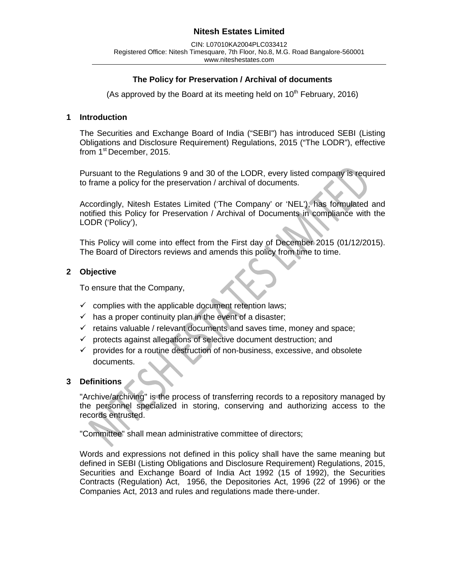### **The Policy for Preservation / Archival of documents**

(As approved by the Board at its meeting held on  $10<sup>th</sup>$  February, 2016)

#### **1 Introduction**

The Securities and Exchange Board of India ("SEBI") has introduced SEBI (Listing Obligations and Disclosure Requirement) Regulations, 2015 ("The LODR"), effective from 1<sup>st</sup> December, 2015.

Pursuant to the Regulations 9 and 30 of the LODR, every listed company is required to frame a policy for the preservation / archival of documents.

Accordingly, Nitesh Estates Limited ('The Company' or 'NEL'), has formulated and notified this Policy for Preservation / Archival of Documents in compliance with the LODR ('Policy'),

This Policy will come into effect from the First day of December 2015 (01/12/2015). The Board of Directors reviews and amends this policy from time to time.

#### **2 Objective**

To ensure that the Company,

- $\checkmark$  complies with the applicable document retention laws;
- $\checkmark$  has a proper continuity plan in the event of a disaster;
- $\checkmark$  retains valuable / relevant documents and saves time, money and space;
- $\checkmark$  protects against allegations of selective document destruction; and
- $\checkmark$  provides for a routine destruction of non-business, excessive, and obsolete documents.

### **3 Definitions**

"Archive/archiving" is the process of transferring records to a repository managed by the personnel specialized in storing, conserving and authorizing access to the records entrusted.

"Committee" shall mean administrative committee of directors;

Words and expressions not defined in this policy shall have the same meaning but defined in SEBI (Listing Obligations and Disclosure Requirement) Regulations, 2015, Securities and Exchange Board of India Act 1992 (15 of 1992), the Securities Contracts (Regulation) Act, 1956, the Depositories Act, 1996 (22 of 1996) or the Companies Act, 2013 and rules and regulations made there-under.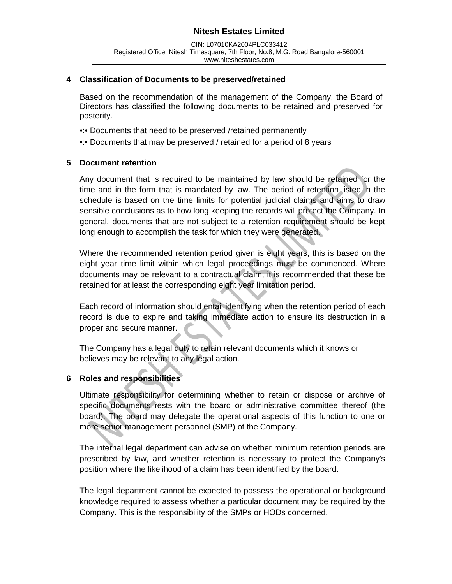#### **4 Classification of Documents to be preserved/retained**

Based on the recommendation of the management of the Company, the Board of Directors has classified the following documents to be retained and preserved for posterity.

- •: Documents that need to be preserved /retained permanently
- •:• Documents that may be preserved / retained for a period of 8 years

#### **5 Document retention**

Any document that is required to be maintained by law should be retained for the time and in the form that is mandated by law. The period of retention listed in the schedule is based on the time limits for potential judicial claims and aims to draw sensible conclusions as to how long keeping the records will protect the Company. In general, documents that are not subject to a retention requirement should be kept long enough to accomplish the task for which they were generated.

Where the recommended retention period given is eight years, this is based on the eight year time limit within which legal proceedings must be commenced. Where documents may be relevant to a contractual claim, it is recommended that these be retained for at least the corresponding eight year limitation period.

Each record of information should entail identifying when the retention period of each record is due to expire and taking immediate action to ensure its destruction in a proper and secure manner.

The Company has a legal duty to retain relevant documents which it knows or believes may be relevant to any legal action.

### **6 Roles and responsibilities**

Ultimate responsibility for determining whether to retain or dispose or archive of specific documents rests with the board or administrative committee thereof (the board). The board may delegate the operational aspects of this function to one or more senior management personnel (SMP) of the Company.

The internal legal department can advise on whether minimum retention periods are prescribed by law, and whether retention is necessary to protect the Company's position where the likelihood of a claim has been identified by the board.

The legal department cannot be expected to possess the operational or background knowledge required to assess whether a particular document may be required by the Company. This is the responsibility of the SMPs or HODs concerned.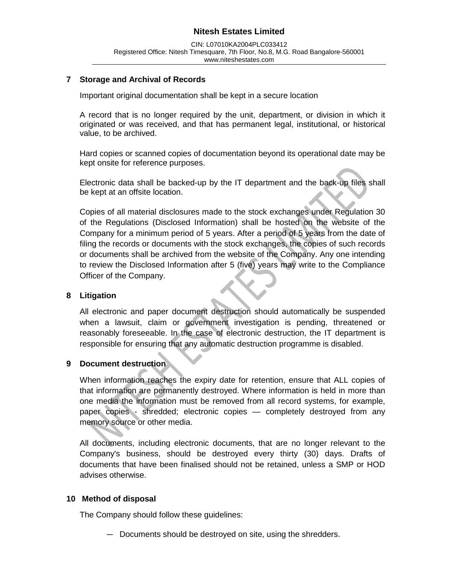### **7 Storage and Archival of Records**

Important original documentation shall be kept in a secure location

A record that is no longer required by the unit, department, or division in which it originated or was received, and that has permanent legal, institutional, or historical value, to be archived.

Hard copies or scanned copies of documentation beyond its operational date may be kept onsite for reference purposes.

Electronic data shall be backed-up by the IT department and the back-up files shall be kept at an offsite location.

Copies of all material disclosures made to the stock exchanges under Regulation 30 of the Regulations (Disclosed Information) shall be hosted on the website of the Company for a minimum period of 5 years. After a period of 5 years from the date of filing the records or documents with the stock exchanges, the copies of such records or documents shall be archived from the website of the Company. Any one intending to review the Disclosed Information after 5 (five) years may write to the Compliance Officer of the Company.

#### **8 Litigation**

All electronic and paper document destruction should automatically be suspended when a lawsuit, claim or government investigation is pending, threatened or reasonably foreseeable. In the case of electronic destruction, the IT department is responsible for ensuring that any automatic destruction programme is disabled.

#### **9 Document destruction**

When information reaches the expiry date for retention, ensure that ALL copies of that information are permanently destroyed. Where information is held in more than one media the information must be removed from all record systems, for example, paper copies - shredded; electronic copies — completely destroyed from any memory source or other media.

All documents, including electronic documents, that are no longer relevant to the Company's business, should be destroyed every thirty (30) days. Drafts of documents that have been finalised should not be retained, unless a SMP or HOD advises otherwise.

#### **10 Method of disposal**

The Company should follow these guidelines:

— Documents should be destroyed on site, using the shredders.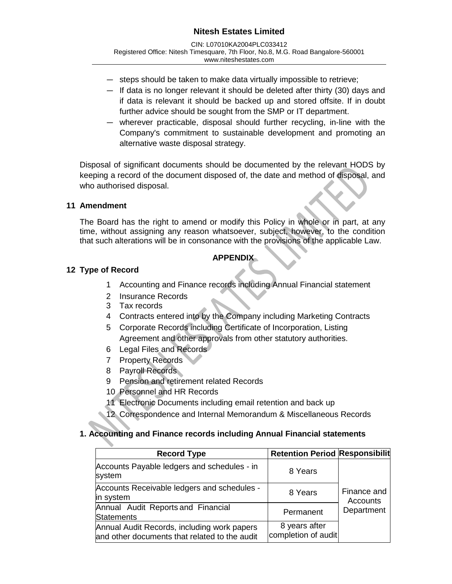CIN: L07010KA2004PLC033412 Registered Office: Nitesh Timesquare, 7th Floor, No.8, M.G. Road Bangalore-560001 www.niteshestates.com

- steps should be taken to make data virtually impossible to retrieve;
- If data is no longer relevant it should be deleted after thirty (30) days and if data is relevant it should be backed up and stored offsite. If in doubt further advice should be sought from the SMP or IT department.
- wherever practicable, disposal should further recycling, in-line with the Company's commitment to sustainable development and promoting an alternative waste disposal strategy.

Disposal of significant documents should be documented by the relevant HODS by keeping a record of the document disposed of, the date and method of disposal, and who authorised disposal.

### **11 Amendment**

The Board has the right to amend or modify this Policy in whole or in part, at any time, without assigning any reason whatsoever, subject, however, to the condition that such alterations will be in consonance with the provisions of the applicable Law.

### **APPENDIX**

### **12 Type of Record**

- 1 Accounting and Finance records including Annual Financial statement
- 2 Insurance Records
- 3 Tax records
- 4 Contracts entered into by the Company including Marketing Contracts
- 5 Corporate Records including Certificate of Incorporation, Listing Agreement and other approvals from other statutory authorities.
- 6 Legal Files and Records
- 7 Property Records
- 8 Payroll Records
- 9 Pension and retirement related Records
- 10 Personnel and HR Records
- 11 Electronic Documents including email retention and back up
- 12 Correspondence and Internal Memorandum & Miscellaneous Records

### **1. Accounting and Finance records including Annual Financial statements**

| <b>Record Type</b>                                                                           | <b>Retention Period Responsibilit</b> |                         |
|----------------------------------------------------------------------------------------------|---------------------------------------|-------------------------|
| Accounts Payable ledgers and schedules - in<br>system                                        | 8 Years                               |                         |
| Accounts Receivable ledgers and schedules -<br>in system                                     | 8 Years                               | Finance and<br>Accounts |
| Annual Audit Reports and Financial<br><b>Statements</b>                                      | Permanent                             | Department              |
| Annual Audit Records, including work papers<br>and other documents that related to the audit | 8 years after<br>completion of audit  |                         |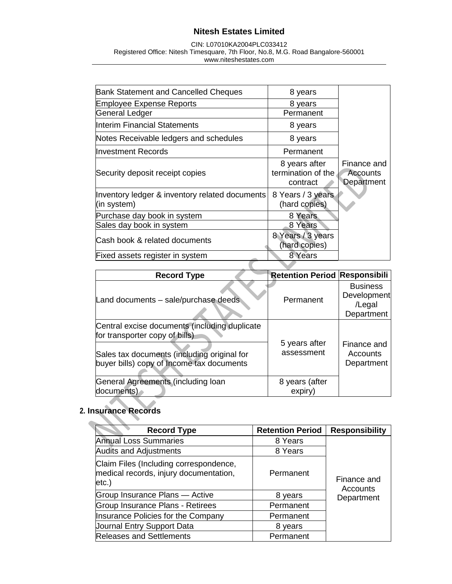CIN: L07010KA2004PLC033412 Registered Office: Nitesh Timesquare, 7th Floor, No.8, M.G. Road Bangalore-560001 www.niteshestates.com

| <b>Bank Statement and Cancelled Cheques</b>                   | 8 years                                         |                                       |
|---------------------------------------------------------------|-------------------------------------------------|---------------------------------------|
| <b>Employee Expense Reports</b>                               | 8 years                                         |                                       |
| General Ledger                                                | Permanent                                       |                                       |
| Interim Financial Statements                                  | 8 years                                         |                                       |
| Notes Receivable ledgers and schedules                        | 8 years                                         |                                       |
| llnvestment Records                                           | Permanent                                       |                                       |
| Security deposit receipt copies                               | 8 years after<br>termination of the<br>contract | Finance and<br>Accounts<br>Department |
| Inventory ledger & inventory related documents<br>(in system) | 8 Years / 3 years<br>(hard copies)              |                                       |
| Purchase day book in system                                   | 8 Years                                         |                                       |
| Sales day book in system                                      | 8 Years                                         |                                       |
| Cash book & related documents                                 | 8 Years / 3 years<br>(hard copies)              |                                       |
| Fixed assets register in system                               | 8 Years                                         |                                       |
|                                                               |                                                 |                                       |

| <b>Record Type</b>                                                                       | <b>Retention Period Responsibili</b> |                                                               |
|------------------------------------------------------------------------------------------|--------------------------------------|---------------------------------------------------------------|
| Land documents - sale/purchase deeds                                                     | Permanent                            | <b>Business</b><br><b>Development</b><br>/Legal<br>Department |
| Central excise documents (including duplicate<br>for transporter copy of bills)          |                                      |                                                               |
| Sales tax documents (including original for<br>buyer bills) copy of Income tax documents | 5 years after<br>assessment          | Finance and<br>Accounts<br>Department                         |
| General Agreements (including loan<br>documents)                                         | 8 years (after<br>expiry)            |                                                               |

# **2. Insurance Records**

| <b>Record Type</b>                                                                        | <b>Retention Period</b> | <b>Responsibility</b>          |
|-------------------------------------------------------------------------------------------|-------------------------|--------------------------------|
| <b>Annual Loss Summaries</b>                                                              | 8 Years                 |                                |
| <b>Audits and Adjustments</b>                                                             | 8 Years                 |                                |
| Claim Files (Including correspondence,<br>medical records, injury documentation,<br>etc.) | Permanent               | Finance and<br><b>Accounts</b> |
| Group Insurance Plans - Active                                                            | 8 years                 | Department                     |
| <b>Group Insurance Plans - Retirees</b>                                                   | Permanent               |                                |
| Insurance Policies for the Company                                                        | Permanent               |                                |
| Journal Entry Support Data                                                                | 8 years                 |                                |
| <b>Releases and Settlements</b>                                                           | Permanent               |                                |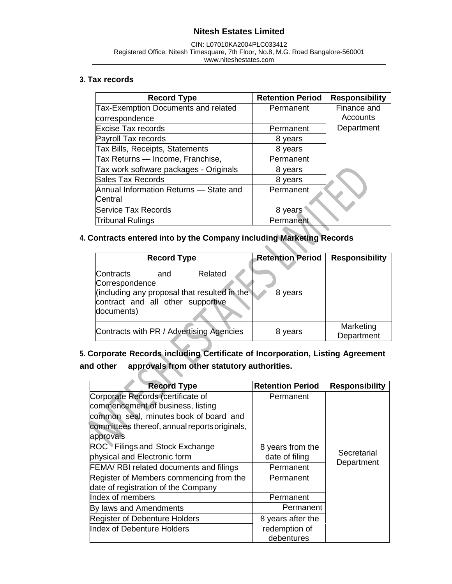#### CIN: L07010KA2004PLC033412 Registered Office: Nitesh Timesquare, 7th Floor, No.8, M.G. Road Bangalore-560001 www.niteshestates.com

### **3. Tax records**

| <b>Record Type</b>                         | <b>Retention Period</b> | <b>Responsibility</b> |
|--------------------------------------------|-------------------------|-----------------------|
| <b>Tax-Exemption Documents and related</b> | Permanent               | Finance and           |
| correspondence                             |                         | Accounts              |
| <b>Excise Tax records</b>                  | Permanent               | Department            |
| Payroll Tax records                        | 8 years                 |                       |
| Tax Bills, Receipts, Statements            | 8 years                 |                       |
| Tax Returns — Income, Franchise,           | Permanent               |                       |
| Tax work software packages - Originals     | 8 years                 |                       |
| Sales Tax Records                          | 8 years                 |                       |
| Annual Information Returns — State and     | Permanent               |                       |
| Central                                    |                         |                       |
| <b>Service Tax Records</b>                 | 8 years                 |                       |
| <b>Tribunal Rulings</b>                    | Permanent               |                       |

# **4. Contracts entered into by the Company including Marketing Records**

| <b>Record Type</b>                                                             |     |                                                         | <b>Retention Period</b> | <b>Responsibility</b>   |
|--------------------------------------------------------------------------------|-----|---------------------------------------------------------|-------------------------|-------------------------|
| Contracts<br>Correspondence<br>contract and all other supportive<br>documents) | and | Related<br>(including any proposal that resulted in the | 8 years                 |                         |
|                                                                                |     | Contracts with PR / Advertising Agencies                | 8 years                 | Marketing<br>Department |

**5. Corporate Records including Certificate of Incorporation, Listing Agreement and other approvals from other statutory authorities.**

| <b>Record Type</b>                                                                                   | <b>Retention Period</b>     | <b>Responsibility</b> |
|------------------------------------------------------------------------------------------------------|-----------------------------|-----------------------|
| Corporate Records (certificate of<br>commencement of business, listing                               | Permanent                   |                       |
| common seal, minutes book of board and<br>committees thereof, annual reports originals,<br>approvals |                             |                       |
| ROC Filings and Stock Exchange                                                                       | 8 years from the            |                       |
| physical and Electronic form                                                                         | date of filing              | Secretarial           |
| <b>FEMA/ RBI related documents and filings</b>                                                       | Permanent                   | Department            |
| Register of Members commencing from the                                                              | Permanent                   |                       |
| date of registration of the Company                                                                  |                             |                       |
| Index of members                                                                                     | Permanent                   |                       |
| By laws and Amendments                                                                               | Permanent                   |                       |
| <b>Register of Debenture Holders</b>                                                                 | 8 years after the           |                       |
| Index of Debenture Holders                                                                           | redemption of<br>debentures |                       |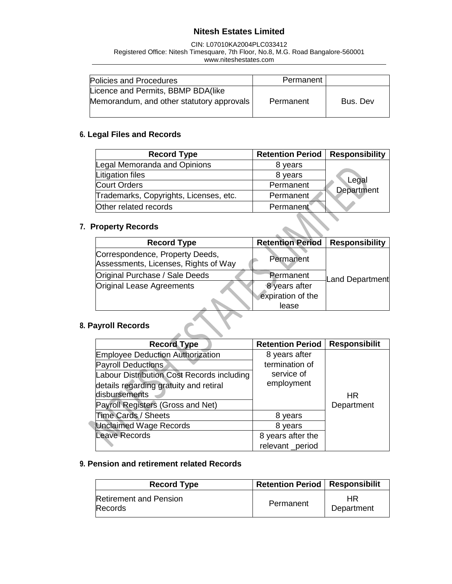CIN: L07010KA2004PLC033412 Registered Office: Nitesh Timesquare, 7th Floor, No.8, M.G. Road Bangalore-560001 www.niteshestates.com

| Policies and Procedures                                                         | Permanent |          |
|---------------------------------------------------------------------------------|-----------|----------|
| Licence and Permits, BBMP BDA(like<br>Memorandum, and other statutory approvals | Permanent | Bus. Dev |

### **6. Legal Files and Records**

| <b>Record Type</b>                     | <b>Retention Period   Responsibility</b> |            |
|----------------------------------------|------------------------------------------|------------|
| Legal Memoranda and Opinions           | 8 years                                  |            |
| Litigation files                       | 8 years                                  | Legal      |
| <b>Court Orders</b>                    | Permanent                                | Department |
| Trademarks, Copyrights, Licenses, etc. | Permanent                                |            |
| Other related records                  | Permanent                                |            |

### **7. Property Records**

| <b>Record Type</b>                                                      | <b>Retention Period</b> | <b>Responsibility</b> |
|-------------------------------------------------------------------------|-------------------------|-----------------------|
| Correspondence, Property Deeds,<br>Assessments, Licenses, Rights of Way | Permanent               |                       |
| Original Purchase / Sale Deeds                                          | Permanent               | Land Department       |
| Original Lease Agreements                                               | 8 years after           |                       |
|                                                                         | expiration of the       |                       |
|                                                                         | lease                   |                       |

X

# **8. Payroll Records**

| <b>Record Type</b>                         | <b>Retention Period</b> | <b>Responsibilit</b> |
|--------------------------------------------|-------------------------|----------------------|
| <b>Employee Deduction Authorization</b>    | 8 years after           |                      |
| Payroll Deductions                         | termination of          |                      |
| Labour Distribution Cost Records including | service of              |                      |
| details regarding gratuity and retiral     | employment              |                      |
| disbursements                              |                         | HR.                  |
| Payroll Registers (Gross and Net)          |                         | Department           |
| Time Cards / Sheets                        | 8 years                 |                      |
| <b>Unclaimed Wage Records</b>              | 8 years                 |                      |
| <b>Leave Records</b>                       | 8 years after the       |                      |
|                                            | relevant_period         |                      |

### **9. Pension and retirement related Records**

| <b>Record Type</b>                       | <b>Retention Period   Responsibilit</b> |                  |
|------------------------------------------|-----------------------------------------|------------------|
| <b>Retirement and Pension</b><br>Records | Permanent                               | HR<br>Department |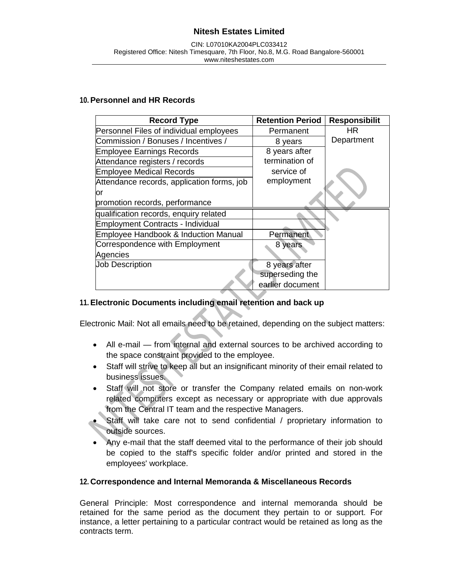### **10.Personnel and HR Records**

| <b>Record Type</b>                         | <b>Retention Period</b> | <b>Responsibilit</b> |
|--------------------------------------------|-------------------------|----------------------|
| Personnel Files of individual employees    | Permanent               | HR                   |
| Commission / Bonuses / Incentives /        | 8 years                 | Department           |
| <b>Employee Earnings Records</b>           | 8 years after           |                      |
| Attendance registers / records             | termination of          |                      |
| <b>Employee Medical Records</b>            | service of              |                      |
| Attendance records, application forms, job | employment              |                      |
| or                                         |                         |                      |
| promotion records, performance             |                         |                      |
| qualification records, enquiry related     |                         |                      |
| <b>Employment Contracts - Individual</b>   |                         |                      |
| Employee Handbook & Induction Manual       | Permanent               |                      |
| Correspondence with Employment             | 8 years                 |                      |
| Agencies                                   |                         |                      |
| <b>Job Description</b>                     | 8 years after           |                      |
|                                            | superseding the         |                      |
|                                            | earlier document        |                      |

### **11.Electronic Documents including email retention and back up**

Electronic Mail: Not all emails need to be retained, depending on the subject matters:

- All e-mail from internal and external sources to be archived according to the space constraint provided to the employee.
- Staff will strive to keep all but an insignificant minority of their email related to business issues.
- Staff will not store or transfer the Company related emails on non-work related computers except as necessary or appropriate with due approvals from the Central IT team and the respective Managers.
- Staff will take care not to send confidential / proprietary information to outside sources.
- Any e-mail that the staff deemed vital to the performance of their job should be copied to the staff's specific folder and/or printed and stored in the employees' workplace.

### **12. Correspondence and Internal Memoranda & Miscellaneous Records**

General Principle: Most correspondence and internal memoranda should be retained for the same period as the document they pertain to or support. For instance, a letter pertaining to a particular contract would be retained as long as the contracts term.